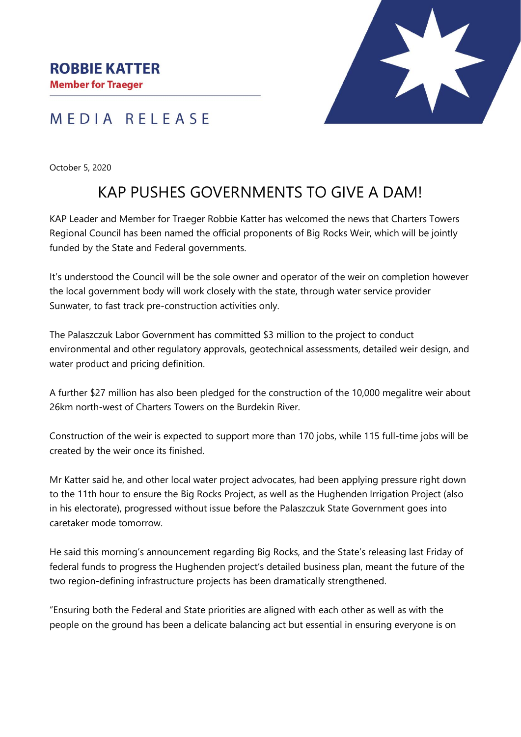## MEDIA RELEASE

October 5, 2020

## KAP PUSHES GOVERNMENTS TO GIVE A DAM!

KAP Leader and Member for Traeger Robbie Katter has welcomed the news that Charters Towers Regional Council has been named the official proponents of Big Rocks Weir, which will be jointly funded by the State and Federal governments.

It's understood the Council will be the sole owner and operator of the weir on completion however the local government body will work closely with the state, through water service provider Sunwater, to fast track pre-construction activities only.

The Palaszczuk Labor Government has committed \$3 million to the project to conduct environmental and other regulatory approvals, geotechnical assessments, detailed weir design, and water product and pricing definition.

A further \$27 million has also been pledged for the construction of the 10,000 megalitre weir about 26km north-west of Charters Towers on the Burdekin River.

Construction of the weir is expected to support more than 170 jobs, while 115 full-time jobs will be created by the weir once its finished.

Mr Katter said he, and other local water project advocates, had been applying pressure right down to the 11th hour to ensure the Big Rocks Project, as well as the Hughenden Irrigation Project (also in his electorate), progressed without issue before the Palaszczuk State Government goes into caretaker mode tomorrow.

He said this morning's announcement regarding Big Rocks, and the State's releasing last Friday of federal funds to progress the Hughenden project's detailed business plan, meant the future of the two region-defining infrastructure projects has been dramatically strengthened.

"Ensuring both the Federal and State priorities are aligned with each other as well as with the people on the ground has been a delicate balancing act but essential in ensuring everyone is on